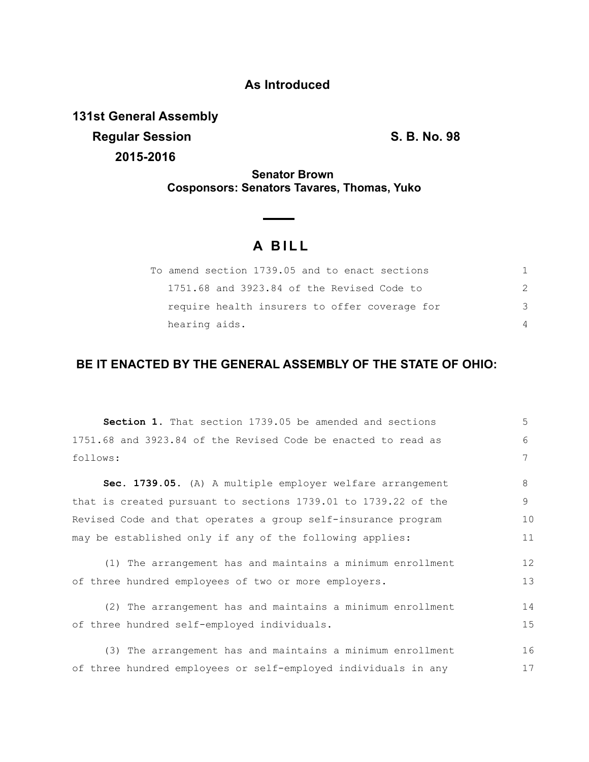## **As Introduced**

**131st General Assembly Regular Session S. B. No. 98 2015-2016**

**Senator Brown Cosponsors: Senators Tavares, Thomas, Yuko**

## **A B I L L**

|               | To amend section 1739.05 and to enact sections |    |
|---------------|------------------------------------------------|----|
|               | 1751.68 and 3923.84 of the Revised Code to     |    |
|               | require health insurers to offer coverage for  | -२ |
| hearing aids. |                                                |    |

## **BE IT ENACTED BY THE GENERAL ASSEMBLY OF THE STATE OF OHIO:**

**Section 1.** That section 1739.05 be amended and sections 1751.68 and 3923.84 of the Revised Code be enacted to read as follows: **Sec. 1739.05.** (A) A multiple employer welfare arrangement that is created pursuant to sections 1739.01 to 1739.22 of the Revised Code and that operates a group self-insurance program may be established only if any of the following applies: (1) The arrangement has and maintains a minimum enrollment of three hundred employees of two or more employers. (2) The arrangement has and maintains a minimum enrollment of three hundred self-employed individuals. (3) The arrangement has and maintains a minimum enrollment of three hundred employees or self-employed individuals in any 5 6 7 8 9 10 11 12 13 14 15 16 17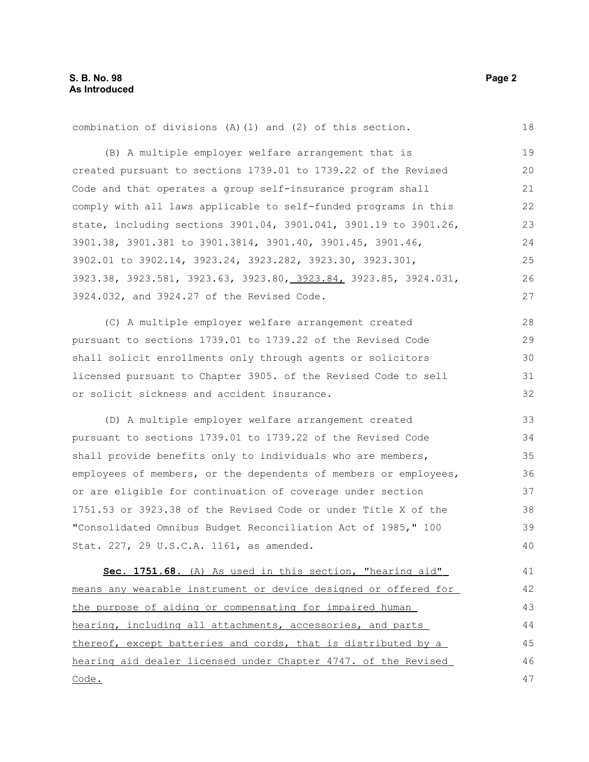combination of divisions (A)(1) and (2) of this section. (B) A multiple employer welfare arrangement that is created pursuant to sections 1739.01 to 1739.22 of the Revised Code and that operates a group self-insurance program shall comply with all laws applicable to self-funded programs in this state, including sections 3901.04, 3901.041, 3901.19 to 3901.26, 3901.38, 3901.381 to 3901.3814, 3901.40, 3901.45, 3901.46, 3902.01 to 3902.14, 3923.24, 3923.282, 3923.30, 3923.301, 3923.38, 3923.581, 3923.63, 3923.80, 3923.84, 3923.85, 3924.031, 3924.032, and 3924.27 of the Revised Code. (C) A multiple employer welfare arrangement created pursuant to sections 1739.01 to 1739.22 of the Revised Code shall solicit enrollments only through agents or solicitors licensed pursuant to Chapter 3905. of the Revised Code to sell or solicit sickness and accident insurance. (D) A multiple employer welfare arrangement created pursuant to sections 1739.01 to 1739.22 of the Revised Code shall provide benefits only to individuals who are members, employees of members, or the dependents of members or employees, or are eligible for continuation of coverage under section 1751.53 or 3923.38 of the Revised Code or under Title X of the "Consolidated Omnibus Budget Reconciliation Act of 1985," 100 Stat. 227, 29 U.S.C.A. 1161, as amended. **Sec. 1751.68.** (A) As used in this section, "hearing aid" means any wearable instrument or device designed or offered for the purpose of aiding or compensating for impaired human hearing, including all attachments, accessories, and parts thereof, except batteries and cords, that is distributed by a hearing aid dealer licensed under Chapter 4747. of the Revised Code. 18 19 20 21 22 23 24 25 26 27 28 29 30 31 32 33 34 35 36 37 38 39 40 41 42 43 44 45 46 47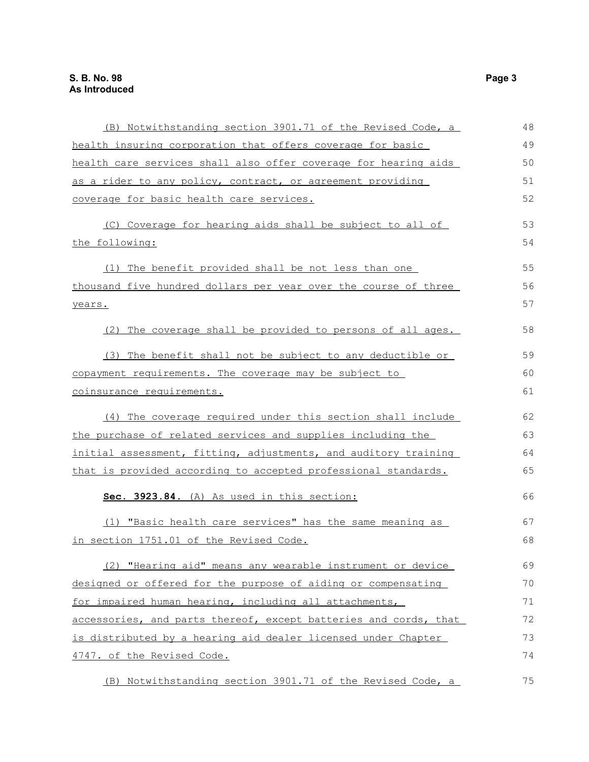| (B) Notwithstanding section 3901.71 of the Revised Code, a       | 48 |
|------------------------------------------------------------------|----|
| health insuring corporation that offers coverage for basic       | 49 |
| health care services shall also offer coverage for hearing aids  | 50 |
| as a rider to any policy, contract, or agreement providing       | 51 |
| coverage for basic health care services.                         | 52 |
| (C) Coverage for hearing aids shall be subject to all of         | 53 |
| the following:                                                   | 54 |
| (1) The benefit provided shall be not less than one              | 55 |
| thousand five hundred dollars per year over the course of three  | 56 |
| years.                                                           | 57 |
| (2) The coverage shall be provided to persons of all ages.       | 58 |
| (3) The benefit shall not be subject to any deductible or        | 59 |
| copayment requirements. The coverage may be subject to           | 60 |
| coinsurance requirements.                                        | 61 |
| (4) The coverage required under this section shall include       | 62 |
| the purchase of related services and supplies including the      | 63 |
| initial assessment, fitting, adjustments, and auditory training  | 64 |
| that is provided according to accepted professional standards.   | 65 |
| Sec. 3923.84. (A) As used in this section:                       | 66 |
| (1) "Basic health care services" has the same meaning as         | 67 |
| in section 1751.01 of the Revised Code.                          | 68 |
| (2) "Hearing aid" means any wearable instrument or device        | 69 |
| designed or offered for the purpose of aiding or compensating    | 70 |
| for impaired human hearing, including all attachments,           | 71 |
| accessories, and parts thereof, except batteries and cords, that | 72 |
| is distributed by a hearing aid dealer licensed under Chapter    | 73 |
| 4747. of the Revised Code.                                       | 74 |
| (B) Notwithstanding section 3901.71 of the Revised Code, a       | 75 |